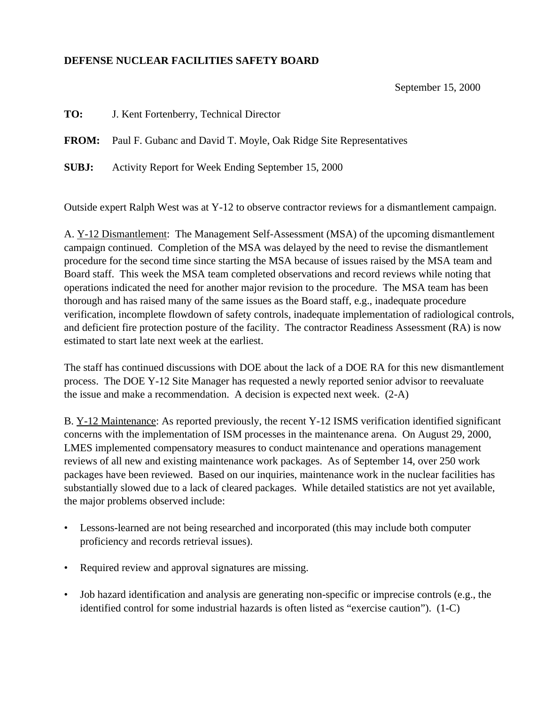## **DEFENSE NUCLEAR FACILITIES SAFETY BOARD**

September 15, 2000

**TO:** J. Kent Fortenberry, Technical Director

**FROM:** Paul F. Gubanc and David T. Moyle, Oak Ridge Site Representatives

**SUBJ:** Activity Report for Week Ending September 15, 2000

Outside expert Ralph West was at Y-12 to observe contractor reviews for a dismantlement campaign.

A. Y-12 Dismantlement: The Management Self-Assessment (MSA) of the upcoming dismantlement campaign continued. Completion of the MSA was delayed by the need to revise the dismantlement procedure for the second time since starting the MSA because of issues raised by the MSA team and Board staff. This week the MSA team completed observations and record reviews while noting that operations indicated the need for another major revision to the procedure. The MSA team has been thorough and has raised many of the same issues as the Board staff, e.g., inadequate procedure verification, incomplete flowdown of safety controls, inadequate implementation of radiological controls, and deficient fire protection posture of the facility. The contractor Readiness Assessment (RA) is now estimated to start late next week at the earliest.

The staff has continued discussions with DOE about the lack of a DOE RA for this new dismantlement process. The DOE Y-12 Site Manager has requested a newly reported senior advisor to reevaluate the issue and make a recommendation. A decision is expected next week. (2-A)

B. Y-12 Maintenance: As reported previously, the recent Y-12 ISMS verification identified significant concerns with the implementation of ISM processes in the maintenance arena. On August 29, 2000, LMES implemented compensatory measures to conduct maintenance and operations management reviews of all new and existing maintenance work packages. As of September 14, over 250 work packages have been reviewed. Based on our inquiries, maintenance work in the nuclear facilities has substantially slowed due to a lack of cleared packages. While detailed statistics are not yet available, the major problems observed include:

- Lessons-learned are not being researched and incorporated (this may include both computer proficiency and records retrieval issues).
- Required review and approval signatures are missing.
- Job hazard identification and analysis are generating non-specific or imprecise controls (e.g., the identified control for some industrial hazards is often listed as "exercise caution"). (1-C)